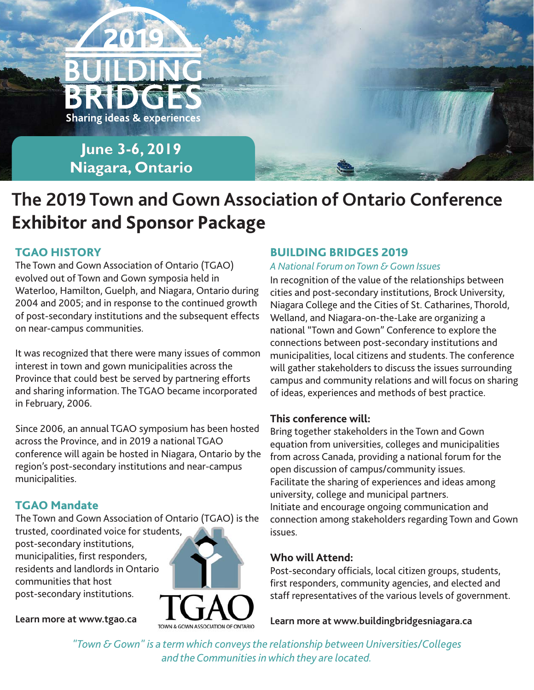

## **The 2019 Town and Gown Association of Ontario Conference Exhibitor and Sponsor Package**

## **TGAO HISTORY**

The Town and Gown Association of Ontario (TGAO) evolved out of Town and Gown symposia held in Waterloo, Hamilton, Guelph, and Niagara, Ontario during 2004 and 2005; and in response to the continued growth of post-secondary institutions and the subsequent effects on near-campus communities.

It was recognized that there were many issues of common interest in town and gown municipalities across the Province that could best be served by partnering efforts and sharing information. The TGAO became incorporated in February, 2006.

Since 2006, an annual TGAO symposium has been hosted across the Province, and in 2019 a national TGAO conference will again be hosted in Niagara, Ontario by the region's post-secondary institutions and near-campus municipalities.

## **TGAO Mandate**

The Town and Gown Association of Ontario (TGAO) is the trusted, coordinated voice for students, post-secondary institutions, municipalities, first responders, residents and landlords in Ontario



**[Learn more at www.tgao.ca](www.tgao.ca)**

communities that host post-secondary institutions.

### **BUILDING BRIDGES 2019**

#### *A National Forum on Town & Gown Issues*

In recognition of the value of the relationships between cities and post-secondary institutions, Brock University, Niagara College and the Cities of St. Catharines, Thorold, Welland, and Niagara-on-the-Lake are organizing a national "Town and Gown" Conference to explore the connections between post-secondary institutions and municipalities, local citizens and students. The conference will gather stakeholders to discuss the issues surrounding campus and community relations and will focus on sharing of ideas, experiences and methods of best practice.

#### **This conference will:**

Bring together stakeholders in the Town and Gown equation from universities, colleges and municipalities from across Canada, providing a national forum for the open discussion of campus/community issues. Facilitate the sharing of experiences and ideas among university, college and municipal partners. Initiate and encourage ongoing communication and connection among stakeholders regarding Town and Gown issues.

#### **Who will Attend:**

Post-secondary officials, local citizen groups, students, first responders, community agencies, and elected and staff representatives of the various levels of government.

**[Learn more at www.buildingbridgesniagara.ca](http://www.buildingbridgesniagara.ca/)**

*"Town & Gown" is a term which conveys the relationship between Universities/Colleges and the Communities in which they are located.*